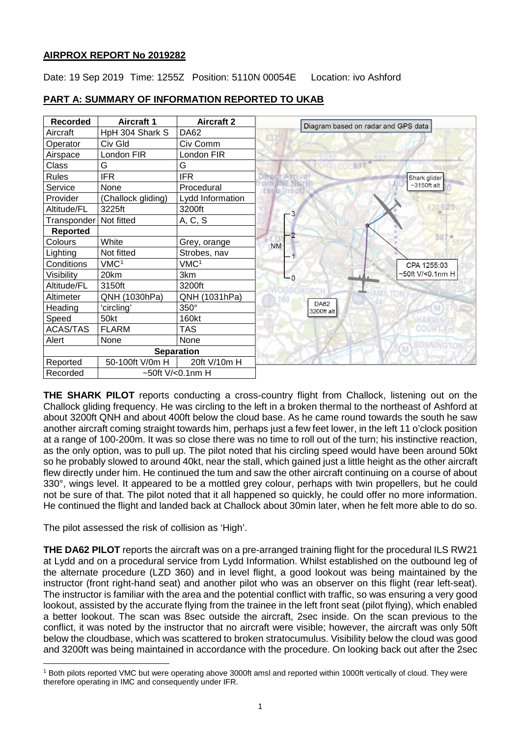## **AIRPROX REPORT No 2019282**

Date: 19 Sep 2019 Time: 1255Z Position: 5110N 00054E Location: ivo Ashford



## **PART A: SUMMARY OF INFORMATION REPORTED TO UKAB**

**THE SHARK PILOT** reports conducting a cross-country flight from Challock, listening out on the Challock gliding frequency. He was circling to the left in a broken thermal to the northeast of Ashford at about 3200ft QNH and about 400ft below the cloud base. As he came round towards the south he saw another aircraft coming straight towards him, perhaps just a few feet lower, in the left 11 o'clock position at a range of 100-200m. It was so close there was no time to roll out of the turn; his instinctive reaction, as the only option, was to pull up. The pilot noted that his circling speed would have been around 50kt so he probably slowed to around 40kt, near the stall, which gained just a little height as the other aircraft flew directly under him. He continued the tum and saw the other aircraft continuing on a course of about 330°, wings level. It appeared to be a mottled grey colour, perhaps with twin propellers, but he could not be sure of that. The pilot noted that it all happened so quickly, he could offer no more information. He continued the flight and landed back at Challock about 30min later, when he felt more able to do so.

The pilot assessed the risk of collision as 'High'.

 $\overline{\phantom{a}}$ 

**THE DA62 PILOT** reports the aircraft was on a pre-arranged training flight for the procedural ILS RW21 at Lydd and on a procedural service from Lydd Information. Whilst established on the outbound leg of the alternate procedure (LZD 360) and in level flight, a good lookout was being maintained by the instructor (front right-hand seat) and another pilot who was an observer on this flight (rear left-seat). The instructor is familiar with the area and the potential conflict with traffic, so was ensuring a very good lookout, assisted by the accurate flying from the trainee in the left front seat (pilot flying), which enabled a better lookout. The scan was 8sec outside the aircraft, 2sec inside. On the scan previous to the conflict, it was noted by the instructor that no aircraft were visible; however, the aircraft was only 50ft below the cloudbase, which was scattered to broken stratocumulus. Visibility below the cloud was good and 3200ft was being maintained in accordance with the procedure. On looking back out after the 2sec

<span id="page-0-0"></span><sup>&</sup>lt;sup>1</sup> Both pilots reported VMC but were operating above 3000ft amsl and reported within 1000ft vertically of cloud. They were therefore operating in IMC and consequently under IFR.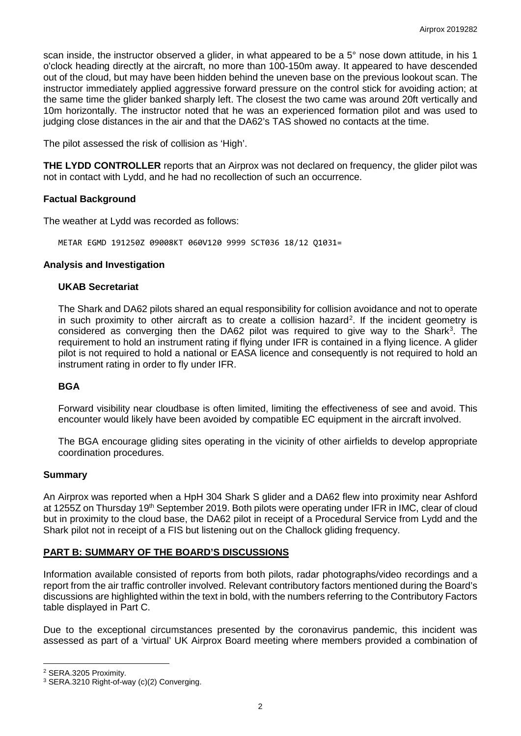scan inside, the instructor observed a glider, in what appeared to be a 5° nose down attitude, in his 1 o'clock heading directly at the aircraft, no more than 100-150m away. It appeared to have descended out of the cloud, but may have been hidden behind the uneven base on the previous lookout scan. The instructor immediately applied aggressive forward pressure on the control stick for avoiding action; at the same time the glider banked sharply left. The closest the two came was around 20ft vertically and 10m horizontally. The instructor noted that he was an experienced formation pilot and was used to judging close distances in the air and that the DA62's TAS showed no contacts at the time.

The pilot assessed the risk of collision as 'High'.

**THE LYDD CONTROLLER** reports that an Airprox was not declared on frequency, the glider pilot was not in contact with Lydd, and he had no recollection of such an occurrence.

#### **Factual Background**

The weather at Lydd was recorded as follows:

METAR EGMD 191250Z 09008KT 060V120 9999 SCT036 18/12 Q1031=

## **Analysis and Investigation**

#### **UKAB Secretariat**

The Shark and DA62 pilots shared an equal responsibility for collision avoidance and not to operate in such proximity to other aircraft as to create a collision hazard<sup>[2](#page-1-0)</sup>. If the incident geometry is considered as converging then the DA62 pilot was required to give way to the Shark<sup>[3](#page-1-1)</sup>. The requirement to hold an instrument rating if flying under IFR is contained in a flying licence. A glider pilot is not required to hold a national or EASA licence and consequently is not required to hold an instrument rating in order to fly under IFR.

## **BGA**

Forward visibility near cloudbase is often limited, limiting the effectiveness of see and avoid. This encounter would likely have been avoided by compatible EC equipment in the aircraft involved.

The BGA encourage gliding sites operating in the vicinity of other airfields to develop appropriate coordination procedures.

#### **Summary**

An Airprox was reported when a HpH 304 Shark S glider and a DA62 flew into proximity near Ashford at 1255Z on Thursday 19<sup>th</sup> September 2019. Both pilots were operating under IFR in IMC, clear of cloud but in proximity to the cloud base, the DA62 pilot in receipt of a Procedural Service from Lydd and the Shark pilot not in receipt of a FIS but listening out on the Challock gliding frequency.

## **PART B: SUMMARY OF THE BOARD'S DISCUSSIONS**

Information available consisted of reports from both pilots, radar photographs/video recordings and a report from the air traffic controller involved. Relevant contributory factors mentioned during the Board's discussions are highlighted within the text in bold, with the numbers referring to the Contributory Factors table displayed in Part C.

Due to the exceptional circumstances presented by the coronavirus pandemic, this incident was assessed as part of a 'virtual' UK Airprox Board meeting where members provided a combination of

 $\overline{\phantom{a}}$ 

<span id="page-1-0"></span><sup>2</sup> SERA.3205 Proximity.

<span id="page-1-1"></span><sup>3</sup> SERA.3210 Right-of-way (c)(2) Converging.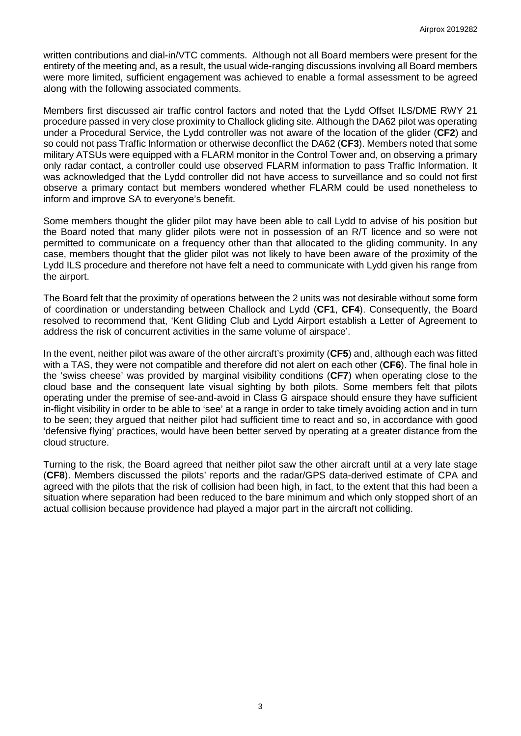written contributions and dial-in/VTC comments. Although not all Board members were present for the entirety of the meeting and, as a result, the usual wide-ranging discussions involving all Board members were more limited, sufficient engagement was achieved to enable a formal assessment to be agreed along with the following associated comments.

Members first discussed air traffic control factors and noted that the Lydd Offset ILS/DME RWY 21 procedure passed in very close proximity to Challock gliding site. Although the DA62 pilot was operating under a Procedural Service, the Lydd controller was not aware of the location of the glider (**CF2**) and so could not pass Traffic Information or otherwise deconflict the DA62 (**CF3**). Members noted that some military ATSUs were equipped with a FLARM monitor in the Control Tower and, on observing a primary only radar contact, a controller could use observed FLARM information to pass Traffic Information. It was acknowledged that the Lydd controller did not have access to surveillance and so could not first observe a primary contact but members wondered whether FLARM could be used nonetheless to inform and improve SA to everyone's benefit.

Some members thought the glider pilot may have been able to call Lydd to advise of his position but the Board noted that many glider pilots were not in possession of an R/T licence and so were not permitted to communicate on a frequency other than that allocated to the gliding community. In any case, members thought that the glider pilot was not likely to have been aware of the proximity of the Lydd ILS procedure and therefore not have felt a need to communicate with Lydd given his range from the airport.

The Board felt that the proximity of operations between the 2 units was not desirable without some form of coordination or understanding between Challock and Lydd (**CF1**, **CF4**). Consequently, the Board resolved to recommend that, 'Kent Gliding Club and Lydd Airport establish a Letter of Agreement to address the risk of concurrent activities in the same volume of airspace'.

In the event, neither pilot was aware of the other aircraft's proximity (**CF5**) and, although each was fitted with a TAS, they were not compatible and therefore did not alert on each other (**CF6**). The final hole in the 'swiss cheese' was provided by marginal visibility conditions (**CF7**) when operating close to the cloud base and the consequent late visual sighting by both pilots. Some members felt that pilots operating under the premise of see-and-avoid in Class G airspace should ensure they have sufficient in-flight visibility in order to be able to 'see' at a range in order to take timely avoiding action and in turn to be seen; they argued that neither pilot had sufficient time to react and so, in accordance with good 'defensive flying' practices, would have been better served by operating at a greater distance from the cloud structure.

Turning to the risk, the Board agreed that neither pilot saw the other aircraft until at a very late stage (**CF8**). Members discussed the pilots' reports and the radar/GPS data-derived estimate of CPA and agreed with the pilots that the risk of collision had been high, in fact, to the extent that this had been a situation where separation had been reduced to the bare minimum and which only stopped short of an actual collision because providence had played a major part in the aircraft not colliding.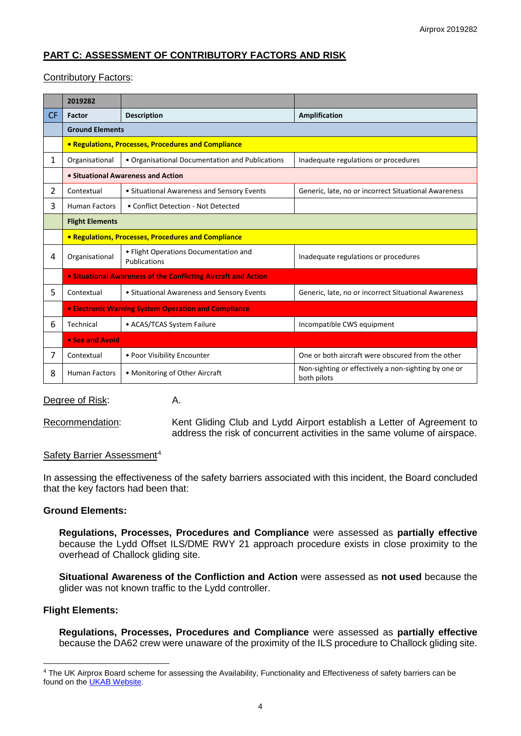# **PART C: ASSESSMENT OF CONTRIBUTORY FACTORS AND RISK**

## Contributory Factors:

|                | 2019282                                              |                                                                |                                                                     |  |  |  |  |  |  |
|----------------|------------------------------------------------------|----------------------------------------------------------------|---------------------------------------------------------------------|--|--|--|--|--|--|
| CF             | <b>Factor</b>                                        | <b>Description</b>                                             | Amplification                                                       |  |  |  |  |  |  |
|                | <b>Ground Elements</b>                               |                                                                |                                                                     |  |  |  |  |  |  |
|                | • Regulations, Processes, Procedures and Compliance  |                                                                |                                                                     |  |  |  |  |  |  |
| 1              | Organisational                                       | • Organisational Documentation and Publications                | Inadequate regulations or procedures                                |  |  |  |  |  |  |
|                | • Situational Awareness and Action                   |                                                                |                                                                     |  |  |  |  |  |  |
| $\overline{2}$ | Contextual                                           | • Situational Awareness and Sensory Events                     | Generic, late, no or incorrect Situational Awareness                |  |  |  |  |  |  |
| 3              | <b>Human Factors</b>                                 | • Conflict Detection - Not Detected                            |                                                                     |  |  |  |  |  |  |
|                | <b>Flight Elements</b>                               |                                                                |                                                                     |  |  |  |  |  |  |
|                |                                                      | <b>• Regulations, Processes, Procedures and Compliance</b>     |                                                                     |  |  |  |  |  |  |
| 4              | Organisational                                       | • Flight Operations Documentation and<br>Publications          | Inadequate regulations or procedures                                |  |  |  |  |  |  |
|                |                                                      | • Situational Awareness of the Conflicting Aircraft and Action |                                                                     |  |  |  |  |  |  |
| 5              | Contextual                                           | • Situational Awareness and Sensory Events                     | Generic, late, no or incorrect Situational Awareness                |  |  |  |  |  |  |
|                | • Electronic Warning System Operation and Compliance |                                                                |                                                                     |  |  |  |  |  |  |
| 6              | Technical                                            | • ACAS/TCAS System Failure                                     | Incompatible CWS equipment                                          |  |  |  |  |  |  |
|                | • See and Avoid                                      |                                                                |                                                                     |  |  |  |  |  |  |
| 7              | Contextual                                           | • Poor Visibility Encounter                                    | One or both aircraft were obscured from the other                   |  |  |  |  |  |  |
| 8              | <b>Human Factors</b>                                 | • Monitoring of Other Aircraft                                 | Non-sighting or effectively a non-sighting by one or<br>both pilots |  |  |  |  |  |  |

Degree of Risk: A.

Recommendation: Kent Gliding Club and Lydd Airport establish a Letter of Agreement to address the risk of concurrent activities in the same volume of airspace.

## Safety Barrier Assessment<sup>[4](#page-3-0)</sup>

In assessing the effectiveness of the safety barriers associated with this incident, the Board concluded that the key factors had been that:

## **Ground Elements:**

**Regulations, Processes, Procedures and Compliance** were assessed as **partially effective** because the Lydd Offset ILS/DME RWY 21 approach procedure exists in close proximity to the overhead of Challock gliding site.

**Situational Awareness of the Confliction and Action** were assessed as **not used** because the glider was not known traffic to the Lydd controller.

## **Flight Elements:**

 $\overline{\phantom{a}}$ 

**Regulations, Processes, Procedures and Compliance** were assessed as **partially effective** because the DA62 crew were unaware of the proximity of the ILS procedure to Challock gliding site.

<span id="page-3-0"></span><sup>&</sup>lt;sup>4</sup> The UK Airprox Board scheme for assessing the Availability, Functionality and Effectiveness of safety barriers can be found on the [UKAB Website.](http://www.airproxboard.org.uk/Learn-more/Airprox-Barrier-Assessment/)